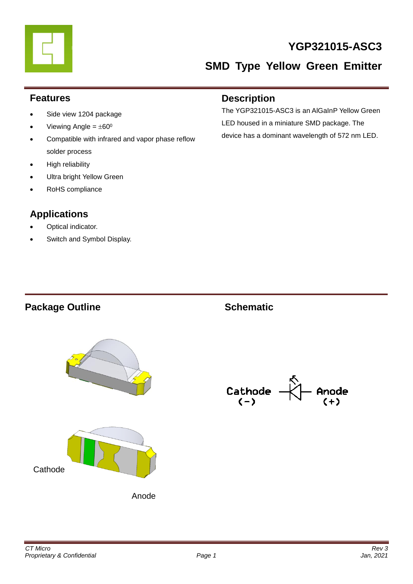

# **YGP321015-ASC3**

# **SMD Type Yellow Green Emitter**

#### **Features**

- Side view 1204 package
- Viewing Angle =  $\pm 60^{\circ}$
- Compatible with infrared and vapor phase reflow solder process
- High reliability
- Ultra bright Yellow Green
- RoHS compliance

# **Applications**

- Optical indicator.
- Switch and Symbol Display.

#### **Description**

The YGP321015-ASC3 is an AlGaInP Yellow Green LED housed in a miniature SMD package. The device has a dominant wavelength of 572 nm LED.

### **Package Outline Schematic**



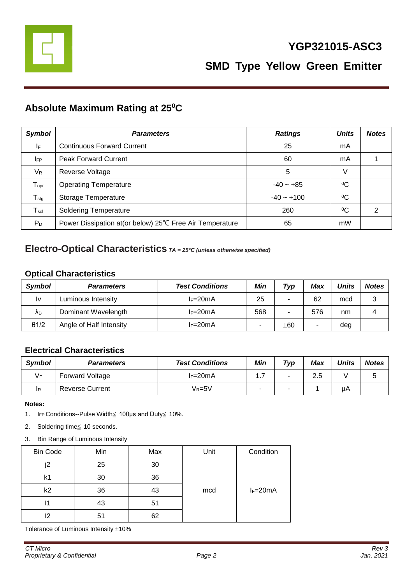

# **Absolute Maximum Rating at 25<sup>0</sup>C**

| <b>Symbol</b>                | <b>Parameters</b>                                         | <b>Ratings</b> | <b>Units</b> | <b>Notes</b>  |
|------------------------------|-----------------------------------------------------------|----------------|--------------|---------------|
| IF                           | <b>Continuous Forward Current</b>                         | 25             | mA           |               |
| <b>IFP</b>                   | <b>Peak Forward Current</b>                               | 60             | mA           |               |
| $V_{R}$                      | Reverse Voltage                                           | 5              | V            |               |
| ${\mathsf T}_{\mathsf{opr}}$ | <b>Operating Temperature</b>                              | $-40 - +85$    | $^{0}C$      |               |
| $T_{\text{stg}}$             | Storage Temperature                                       | $-40 - +100$   | $^{0}C$      |               |
| $\mathsf{T}_{\mathsf{sol}}$  | <b>Soldering Temperature</b>                              | 260            | $\rm ^{0}C$  | $\mathcal{P}$ |
| $P_D$                        | Power Dissipation at (or below) 25°C Free Air Temperature | 65             | mW           |               |

#### **Electro-Optical Characteristics** *TA = 25°C (unless otherwise specified)*

#### **Optical Characteristics**

| Symbol       | <b>Parameters</b>       | <b>Test Conditions</b> | Min | Typ | Max | <b>Units</b> | <b>Notes</b> |
|--------------|-------------------------|------------------------|-----|-----|-----|--------------|--------------|
| l٧           | Luminous Intensity      | $l = 20mA$             | 25  |     | 62  | mcd          | 3            |
| ΛD           | Dominant Wavelength     | $l = 20mA$             | 568 |     | 576 | nm           |              |
| $\theta$ 1/2 | Angle of Half Intensity | $l = 20mA$             |     | ±60 |     | deg          |              |

#### **Electrical Characteristics**

| <b>Symbol</b> | <b>Parameters</b>      | <b>Test Conditions</b> | Min  | Typ | <b>Max</b> | <b>Units</b> | <b>Notes</b> |
|---------------|------------------------|------------------------|------|-----|------------|--------------|--------------|
| VF            | <b>Forward Voltage</b> | $l = 20mA$             | ı. 1 | ۰   | 2.5        |              |              |
| IR            | <b>Reverse Current</b> | Vr=5V                  |      | -   |            | μA           |              |

**Notes:** 

- 1. IFP Conditions--Pulse Width≦ 100μs and Duty≦ 10%.
- 2. Soldering time≦ 10 seconds.
- 3. Bin Range of Luminous Intensity

| <b>Bin Code</b> | Min | Max | Unit | Condition  |  |  |
|-----------------|-----|-----|------|------------|--|--|
| i2              | 25  | 30  |      |            |  |  |
| k1              | 30  | 36  |      |            |  |  |
| k2              | 36  | 43  | mcd  | $I_F=20mA$ |  |  |
| 11              | 43  | 51  |      |            |  |  |
| 12              | 51  | 62  |      |            |  |  |

Tolerance of Luminous Intensity  $\pm 10\%$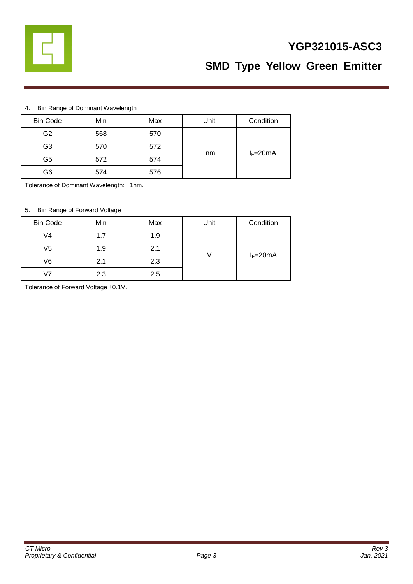

# **YGP321015-ASC3**

# **SMD Type Yellow Green Emitter**

#### 4. Bin Range of Dominant Wavelength

| <b>Bin Code</b> | Min | Max | Unit | Condition  |  |
|-----------------|-----|-----|------|------------|--|
| G2              | 568 | 570 |      |            |  |
| G <sub>3</sub>  | 570 | 572 |      |            |  |
| G5              | 572 | 574 | nm   | $I_F=20mA$ |  |
| G6              | 574 | 576 |      |            |  |

Tolerance of Dominant Wavelength: ±1nm.

#### 5. Bin Range of Forward Voltage

| <b>Bin Code</b> | Min | Max | Unit | Condition  |  |
|-----------------|-----|-----|------|------------|--|
| V4              | 1.7 | 1.9 |      | $I_F=20mA$ |  |
| V5              | 1.9 | 2.1 |      |            |  |
| V6              | 2.1 | 2.3 |      |            |  |
| 17              | 2.3 | 2.5 |      |            |  |

Tolerance of Forward Voltage  $\pm 0.1$ V.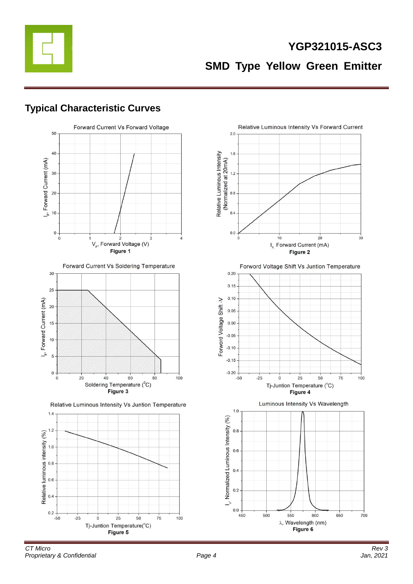

# **YGP321015-ASC3 SMD Type Yellow Green Emitter**

### **Typical Characteristic Curves**



Forward Current Vs Soldering Temperature



Relative Luminous Intensity Vs Juntion Temperature



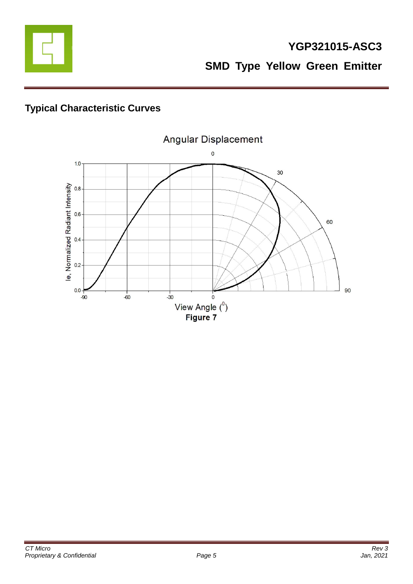

# **Typical Characteristic Curves**

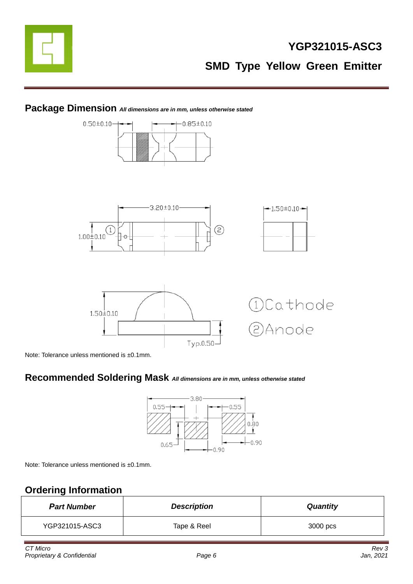

# **YGP321015-ASC3 SMD Type Yellow Green Emitter**

#### **Package Dimension** *All dimensions are in mm, unless otherwise stated*



Note: Tolerance unless mentioned is ±0.1mm.

### **Recommended Soldering Mask** *All dimensions are in mm, unless otherwise stated*



Note: Tolerance unless mentioned is ±0.1mm.

# **Ordering Information**

| <b>Part Number</b> | <b>Description</b> | <b>Quantity</b> |
|--------------------|--------------------|-----------------|
| YGP321015-ASC3     | Tape & Reel        | 3000 pcs        |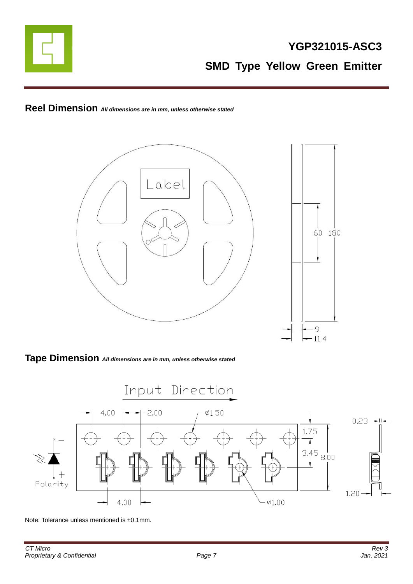

# **Reel Dimension** *All dimensions are in mm, unless otherwise stated*



#### **Tape Dimension** *All dimensions are in mm, unless otherwise stated*



Note: Tolerance unless mentioned is ±0.1mm.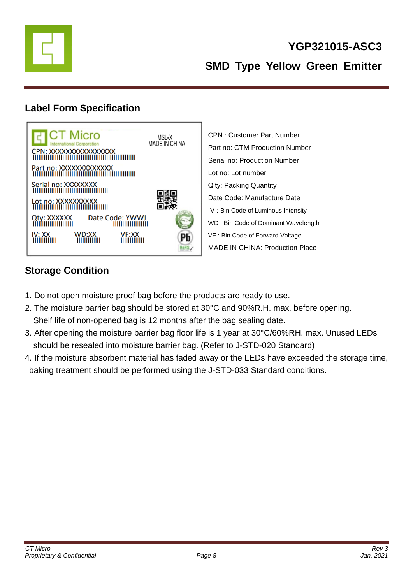

# **YGP321015-ASC3 SMD Type Yellow Green Emitter**

## **Label Form Specification**



CPN : Customer Part Number Part no: CTM Production Number Serial no: Production Number Lot no: Lot number Q'ty: Packing Quantity Date Code: Manufacture Date IV : Bin Code of Luminous Intensity WD : Bin Code of Dominant Wavelength VF : Bin Code of Forward Voltage MADE IN CHINA: Production Place

# **Storage Condition**

- 1. Do not open moisture proof bag before the products are ready to use.
- 2. The moisture barrier bag should be stored at 30°C and 90%R.H. max. before opening. Shelf life of non-opened bag is 12 months after the bag sealing date.
- 3. After opening the moisture barrier bag floor life is 1 year at 30°C/60%RH. max. Unused LEDs should be resealed into moisture barrier bag. (Refer to J-STD-020 Standard)
- 4. If the moisture absorbent material has faded away or the LEDs have exceeded the storage time, baking treatment should be performed using the J-STD-033 Standard conditions.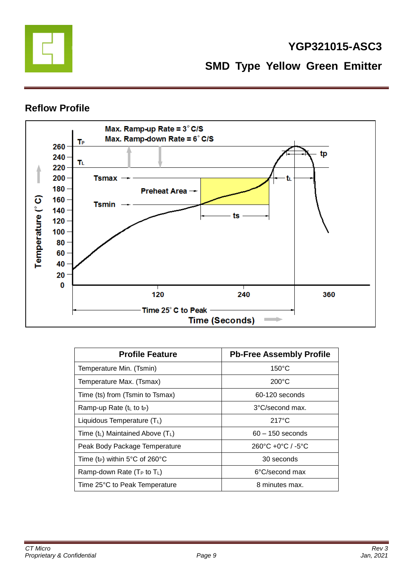

## **YGP321015-ASC3**

**SMD Type Yellow Green Emitter**

#### **Reflow Profile**



| <b>Profile Feature</b>                     | <b>Pb-Free Assembly Profile</b>                   |
|--------------------------------------------|---------------------------------------------------|
| Temperature Min. (Tsmin)                   | $150^{\circ}$ C                                   |
| Temperature Max. (Tsmax)                   | $200^{\circ}$ C                                   |
| Time (ts) from (Tsmin to Tsmax)            | 60-120 seconds                                    |
| Ramp-up Rate $(tL$ to t <sub>P</sub> )     | $3^{\circ}$ C/second max.                         |
| Liquidous Temperature $(T_L)$              | $217^{\circ}$ C                                   |
| Time $(t_L)$ Maintained Above $(T_L)$      | $60 - 150$ seconds                                |
| Peak Body Package Temperature              | $260^{\circ}$ C +0 $^{\circ}$ C / -5 $^{\circ}$ C |
| Time (t <sub>P</sub> ) within 5°C of 260°C | 30 seconds                                        |
| Ramp-down Rate ( $T_P$ to $T_L$ )          | 6°C/second max                                    |
| Time 25°C to Peak Temperature              | 8 minutes max.                                    |